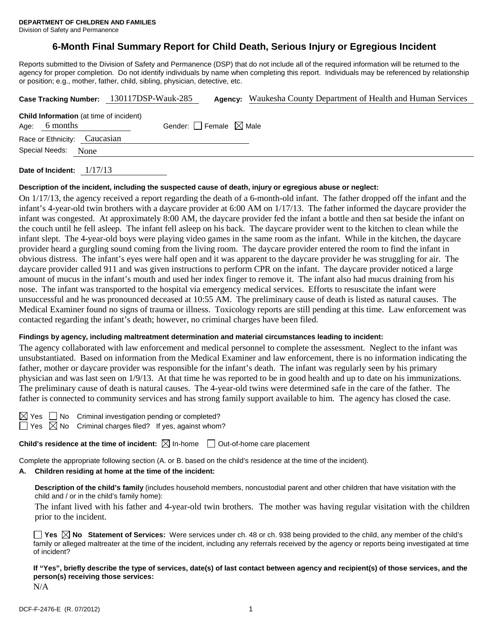Division of Safety and Permanence

# **6-Month Final Summary Report for Child Death, Serious Injury or Egregious Incident**

Reports submitted to the Division of Safety and Permanence (DSP) that do not include all of the required information will be returned to the agency for proper completion. Do not identify individuals by name when completing this report. Individuals may be referenced by relationship or position; e.g., mother, father, child, sibling, physician, detective, etc.

|                                                                   |  | Case Tracking Number: 130117DSP-Wauk-285 | Agency: | Waukesha County Department of Health and Human Services |
|-------------------------------------------------------------------|--|------------------------------------------|---------|---------------------------------------------------------|
| <b>Child Information</b> (at time of incident)<br>Age: $6$ months |  | Gender: Female $\boxtimes$ Male          |         |                                                         |
| Race or Ethnicity: Caucasian                                      |  |                                          |         |                                                         |
| Special Needs: None                                               |  |                                          |         |                                                         |
|                                                                   |  |                                          |         |                                                         |

**Date of Incident:** 1/17/13

#### **Description of the incident, including the suspected cause of death, injury or egregious abuse or neglect:**

On 1/17/13, the agency received a report regarding the death of a 6-month-old infant. The father dropped off the infant and the infant's 4-year-old twin brothers with a daycare provider at 6:00 AM on 1/17/13. The father informed the daycare provider the infant was congested. At approximately 8:00 AM, the daycare provider fed the infant a bottle and then sat beside the infant on the couch until he fell asleep. The infant fell asleep on his back. The daycare provider went to the kitchen to clean while the infant slept. The 4-year-old boys were playing video games in the same room as the infant. While in the kitchen, the daycare provider heard a gurgling sound coming from the living room. The daycare provider entered the room to find the infant in obvious distress. The infant's eyes were half open and it was apparent to the daycare provider he was struggling for air. The daycare provider called 911 and was given instructions to perform CPR on the infant. The daycare provider noticed a large amount of mucus in the infant's mouth and used her index finger to remove it. The infant also had mucus draining from his nose. The infant was transported to the hospital via emergency medical services. Efforts to resuscitate the infant were unsuccessful and he was pronounced deceased at 10:55 AM. The preliminary cause of death is listed as natural causes. The Medical Examiner found no signs of trauma or illness. Toxicology reports are still pending at this time. Law enforcement was contacted regarding the infant's death; however, no criminal charges have been filed.

#### **Findings by agency, including maltreatment determination and material circumstances leading to incident:**

The agency collaborated with law enforcement and medical personnel to complete the assessment. Neglect to the infant was unsubstantiated. Based on information from the Medical Examiner and law enforcement, there is no information indicating the father, mother or daycare provider was responsible for the infant's death. The infant was regularly seen by his primary physician and was last seen on 1/9/13. At that time he was reported to be in good health and up to date on his immunizations. The preliminary cause of death is natural causes. The 4-year-old twins were determined safe in the care of the father. The father is connected to community services and has strong family support available to him. The agency has closed the case.

 $\Box$  No Criminal investigation pending or completed? Yes  $\boxtimes$  No Criminal charges filed? If yes, against whom?

**Child's residence at the time of incident:**  $\boxtimes$  In-home  $\Box$  Out-of-home care placement

Complete the appropriate following section (A. or B. based on the child's residence at the time of the incident).

## **A. Children residing at home at the time of the incident:**

**Description of the child's family** (includes household members, noncustodial parent and other children that have visitation with the child and / or in the child's family home):

The infant lived with his father and 4-year-old twin brothers. The mother was having regular visitation with the children prior to the incident.

**Yes No Statement of Services:** Were services under ch. 48 or ch. 938 being provided to the child, any member of the child's family or alleged maltreater at the time of the incident, including any referrals received by the agency or reports being investigated at time of incident?

**If "Yes", briefly describe the type of services, date(s) of last contact between agency and recipient(s) of those services, and the person(s) receiving those services:**

N/A